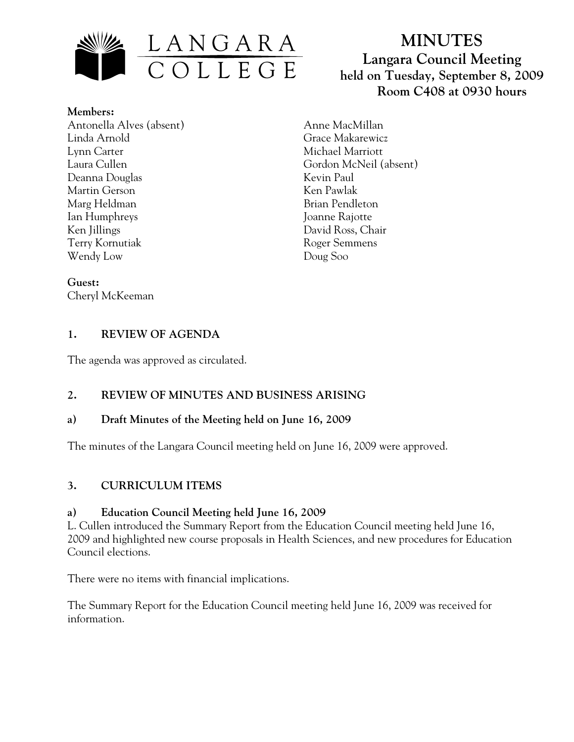

**Members:** Antonella Alves (absent) Linda Arnold Lynn Carter Laura Cullen Deanna Douglas Martin Gerson Marg Heldman Ian Humphreys Ken Jillings Terry Kornutiak Wendy Low

# **MINUTES Langara Council Meeting held on Tuesday, September 8, 2009 Room C408 at 0930 hours**

Anne MacMillan Grace Makarewicz Michael Marriott Gordon McNeil (absent) Kevin Paul Ken Pawlak Brian Pendleton Joanne Rajotte David Ross, Chair Roger Semmens Doug Soo

**Guest:**  Cheryl McKeeman

## **1. REVIEW OF AGENDA**

The agenda was approved as circulated.

# **2. REVIEW OF MINUTES AND BUSINESS ARISING**

# **a) Draft Minutes of the Meeting held on June 16, 2009**

The minutes of the Langara Council meeting held on June 16, 2009 were approved.

# **3. CURRICULUM ITEMS**

# **a) Education Council Meeting held June 16, 2009**

L. Cullen introduced the Summary Report from the Education Council meeting held June 16, 2009 and highlighted new course proposals in Health Sciences, and new procedures for Education Council elections.

There were no items with financial implications.

The Summary Report for the Education Council meeting held June 16, 2009 was received for information.